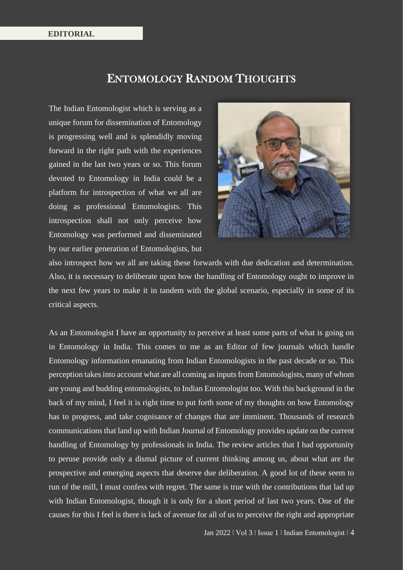## ENTOMOLOGY RANDOM THOUGHTS

The Indian Entomologist which is serving as a unique forum for dissemination of Entomology is progressing well and is splendidly moving forward in the right path with the experiences gained in the last two years or so. This forum devoted to Entomology in India could be a platform for introspection of what we all are doing as professional Entomologists. This introspection shall not only perceive how Entomology was performed and disseminated by our earlier generation of Entomologists, but



also introspect how we all are taking these forwards with due dedication and determination. Also, it is necessary to deliberate upon how the handling of Entomology ought to improve in the next few years to make it in tandem with the global scenario, especially in some of its critical aspects.

As an Entomologist I have an opportunity to perceive at least some parts of what is going on in Entomology in India. This comes to me as an Editor of few journals which handle Entomology information emanating from Indian Entomologists in the past decade or so. This perception takes into account what are all coming as inputs from Entomologists, many of whom are young and budding entomologists, to Indian Entomologist too. With this background in the back of my mind, I feel it is right time to put forth some of my thoughts on how Entomology has to progress, and take cognisance of changes that are imminent. Thousands of research communications that land up with Indian Journal of Entomology provides update on the current handling of Entomology by professionals in India. The review articles that I had opportunity to peruse provide only a dismal picture of current thinking among us, about what are the prospective and emerging aspects that deserve due deliberation. A good lot of these seem to run of the mill, I must confess with regret. The same is true with the contributions that lad up with Indian Entomologist, though it is only for a short period of last two years. One of the causes for this I feel is there is lack of avenue for all of us to perceive the right and appropriate